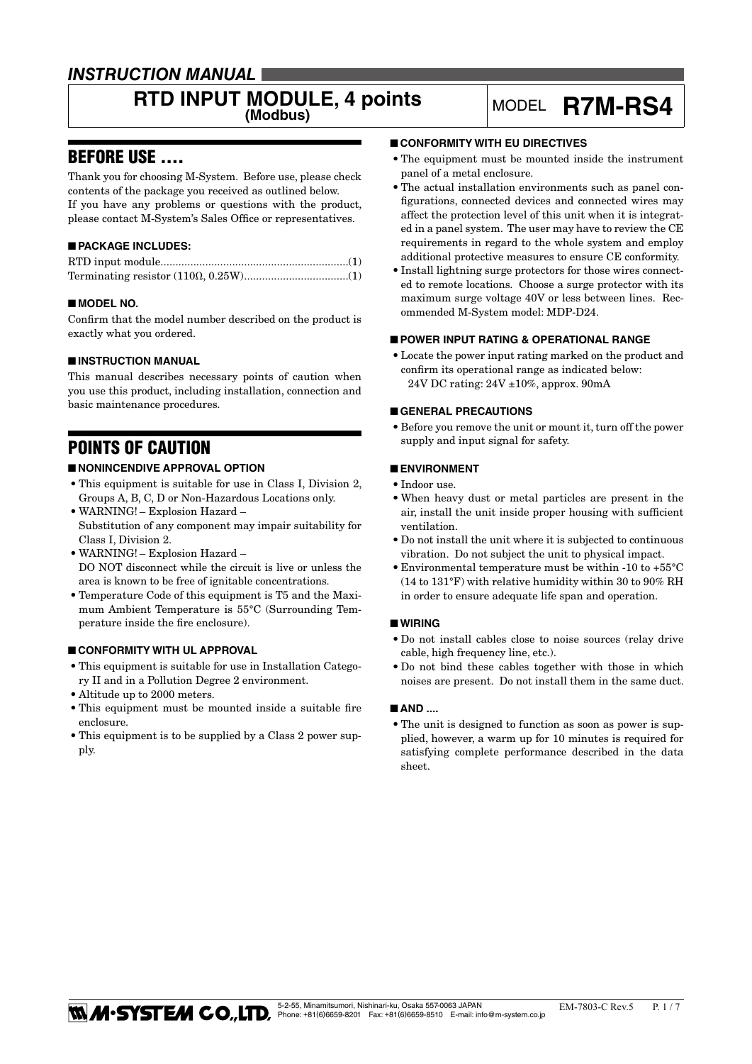# *INSTRUCTION MANUAL*

# **RTD INPUT MODULE, 4 points** MODEL **R7M-RS4**

# BEFORE USE ....

Thank you for choosing M-System. Before use, please check contents of the package you received as outlined below. If you have any problems or questions with the product, please contact M-System's Sales Office or representatives.

# ■ **PACKAGE INCLUDES:**

# ■ **MODEL NO.**

Confirm that the model number described on the product is exactly what you ordered.

# ■ **INSTRUCTION MANUAL**

This manual describes necessary points of caution when you use this product, including installation, connection and basic maintenance procedures.

# POINTS OF CAUTION

# ■ **NONINCENDIVE APPROVAL OPTION**

- • This equipment is suitable for use in Class I, Division 2, Groups A, B, C, D or Non-Hazardous Locations only.
- WARNING! Explosion Hazard Substitution of any component may impair suitability for Class I, Division 2.
- • WARNING! Explosion Hazard DO NOT disconnect while the circuit is live or unless the area is known to be free of ignitable concentrations.
- • Temperature Code of this equipment is T5 and the Maximum Ambient Temperature is 55°C (Surrounding Temperature inside the fire enclosure).

# ■ **CONFORMITY WITH UL APPROVAL**

- • This equipment is suitable for use in Installation Category II and in a Pollution Degree 2 environment.
- • Altitude up to 2000 meters.
- This equipment must be mounted inside a suitable fire enclosure.
- This equipment is to be supplied by a Class 2 power supply.

# ■ **CONFORMITY WITH EU DIRECTIVES**

- The equipment must be mounted inside the instrument panel of a metal enclosure.
- The actual installation environments such as panel configurations, connected devices and connected wires may affect the protection level of this unit when it is integrated in a panel system. The user may have to review the CE requirements in regard to the whole system and employ additional protective measures to ensure CE conformity.
- Install lightning surge protectors for those wires connected to remote locations. Choose a surge protector with its maximum surge voltage 40V or less between lines. Recommended M-System model: MDP-D24.

# ■ **POWER INPUT RATING & OPERATIONAL RANGE**

• Locate the power input rating marked on the product and confirm its operational range as indicated below: 24V DC rating: 24V ±10%, approx. 90mA

# ■ **GENERAL PRECAUTIONS**

• Before you remove the unit or mount it, turn off the power supply and input signal for safety.

# ■ **ENVIRONMENT**

- • Indoor use.
- • When heavy dust or metal particles are present in the air, install the unit inside proper housing with sufficient ventilation.
- • Do not install the unit where it is subjected to continuous vibration. Do not subject the unit to physical impact.
- Environmental temperature must be within -10 to  $+55^{\circ}$ C (14 to 131°F) with relative humidity within 30 to 90% RH in order to ensure adequate life span and operation.

# ■ **WIRING**

- • Do not install cables close to noise sources (relay drive cable, high frequency line, etc.).
- • Do not bind these cables together with those in which noises are present. Do not install them in the same duct.

#### ■ AND ....

• The unit is designed to function as soon as power is supplied, however, a warm up for 10 minutes is required for satisfying complete performance described in the data sheet.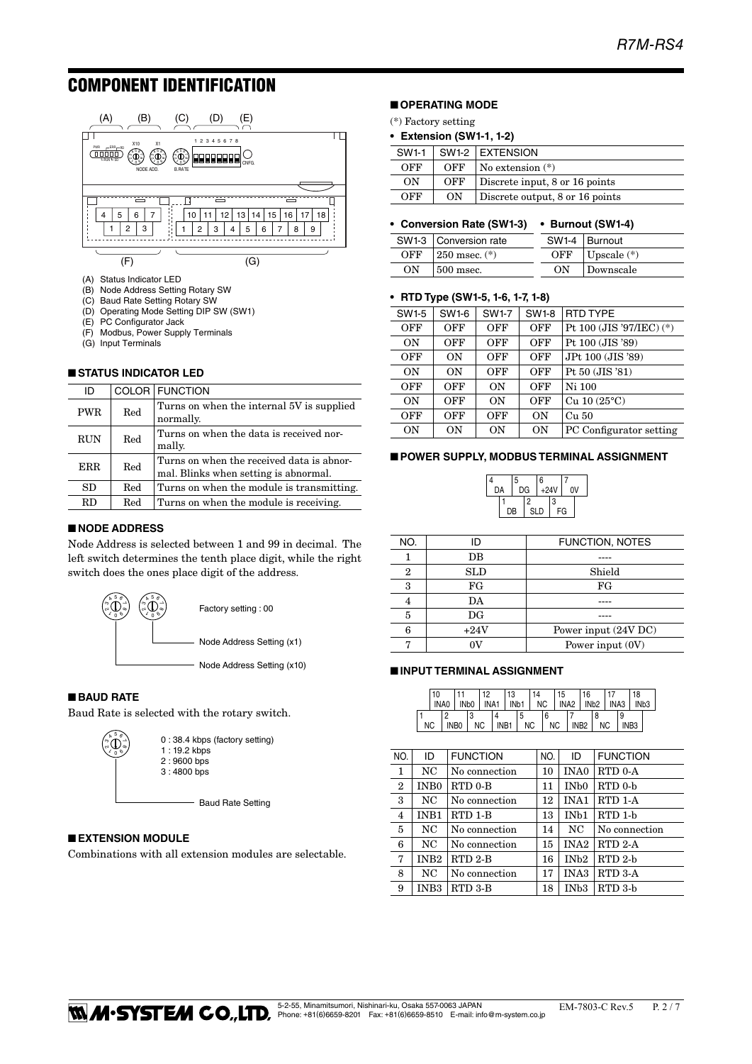# COMPONENT IDENTIFICATION



- (A) Status Indicator LED
- (B) Node Address Setting Rotary SW
- 
- (C) Baud Rate Setting Rotary SW (D) Operating Mode Setting DIP SW (SW1)
- (E) PC Configurator Jack
- (F) Modbus, Power Supply Terminals
- (G) Input Terminals

#### ■ **STATUS INDICATOR LED**

| ID         |     | COLOR FUNCTION                                                                     |
|------------|-----|------------------------------------------------------------------------------------|
| <b>PWR</b> | Red | Turns on when the internal 5V is supplied<br>normally.                             |
| <b>RUN</b> | Red | Turns on when the data is received nor-<br>mally.                                  |
| <b>ERR</b> | Red | Turns on when the received data is abnor-<br>mal. Blinks when setting is abnormal. |
| <b>SD</b>  | Red | Turns on when the module is transmitting.                                          |
| <b>RD</b>  | Red | Turns on when the module is receiving.                                             |
|            |     |                                                                                    |

#### ■ **NODE ADDRESS**

Node Address is selected between 1 and 99 in decimal. The left switch determines the tenth place digit, while the right switch does the ones place digit of the address.



# ■ **BAUD RATE**

Baud Rate is selected with the rotary switch.

| Ę<br>× |
|--------|
|        |

0 : 38.4 kbps (factory setting) 1 : 19.2 kbps 2 : 9600 bps 3 : 4800 bps

- Baud Rate Setting

# ■ **EXTENSION MODULE**

Combinations with all extension modules are selectable.

# ■ **OPERATING MODE**

- (\*) Factory setting
- **Extension (SW1-1, 1-2)**

| SW1-1 |     | SW1-2 EXTENSION                 |
|-------|-----|---------------------------------|
| OFF   | OFF | $\sqrt{N}$ No extension $(*)$   |
| ON    | OFF | Discrete input, 8 or 16 points  |
| OFF   | ON  | Discrete output, 8 or 16 points |

# **• Conversion Rate (SW1-3) • Burnout (SW1-4)**

|     | SW1-3   Conversion rate |  | SW1-4   Burnout       |
|-----|-------------------------|--|-----------------------|
| OFF | $\pm 250$ msec. $(*)$   |  | OFF $ $ Upscale $(*)$ |
| OΝ  | $\pm 500$ msec.         |  | Downscale             |

#### **• RTD Type (SW1-5, 1-6, 1-7, 1-8)**

| SW1-5 | SW1-6     | <b>SW1-7</b> | <b>SW1-8</b> | RTD TYPE                 |
|-------|-----------|--------------|--------------|--------------------------|
| OFF   | OFF       | OFF          | <b>OFF</b>   | Pt 100 (JIS '97/IEC) (*) |
| ON    | OFF       | OFF          | OFF          | Pt 100 (JIS '89)         |
| OFF   | ON        | OFF          | OFF          | JPt 100 (JIS '89)        |
| ON    | ON        | OFF          | OFF          | Pt 50 (JIS '81)          |
| OFF   | OFF       | ON           | OFF          | Ni 100                   |
| ON    | OFF       | ON           | OFF          | Cu $10(25^{\circ}C)$     |
| OFF   | OFF       | OFF          | ON           | Cu 50                    |
| OΝ    | <b>ON</b> | ON           | <b>ON</b>    | PC Configurator setting  |

#### ■ **POWER SUPPLY, MODBUS TERMINAL ASSIGNMENT**

| 5  |    |    |            | 6      |   |    |  |
|----|----|----|------------|--------|---|----|--|
| DA |    | DG |            | $+24V$ |   | 0V |  |
|    |    |    | 2          |        | 3 |    |  |
|    | DB |    | <b>SLD</b> |        |   | FG |  |

| NO.            | חו          | <b>FUNCTION, NOTES</b> |
|----------------|-------------|------------------------|
|                | DB          |                        |
| $\overline{2}$ | SLD         | Shield                 |
| 3              | FG          | FG                     |
| 4              | DA          |                        |
| 5              | $_{\rm DG}$ |                        |
| 6              | $+24V$      | Power input (24V DC)   |
|                |             | Power input (0V)       |

#### ■ **INPUT TERMINAL ASSIGNMENT**

|    | 10 |      | 12  | 13<br>INAO I INDO I INA1 I IND1 I NC I INA2 I IND2 I INA3 I IND3 | 14 | 15   |              | 16 |     |                       | 18 |  |
|----|----|------|-----|------------------------------------------------------------------|----|------|--------------|----|-----|-----------------------|----|--|
| ΝC |    | INB0 | NC. | $N_{B1}$                                                         | NC | NC . | $ $ INB2 $ $ |    | NC. | 9<br>INB <sub>3</sub> |    |  |

| NO.            | ID               | <b>FUNCTION</b>     | NO. | ID                | <b>FUNCTION</b> |
|----------------|------------------|---------------------|-----|-------------------|-----------------|
| 1              | NC               | No connection       | 10  | INA0              | RTD 0-A         |
| $\overline{2}$ | IN <sub>B0</sub> | RTD <sub>0</sub> -B | 11  | IN <sub>b</sub> 0 | RTD 0-b         |
| 3              | NC               | No connection       | 12  | <b>INA1</b>       | RTD 1-A         |
| $\overline{4}$ | INB1             | RTD 1-B             | 13  | IN <sub>b1</sub>  | RTD 1-b         |
| 5              | NC               | No connection       | 14  | NC                | No connection   |
| 6              | NC.              | No connection       | 15  | INA <sub>2</sub>  | $RTD$ 2-A       |
| 7              | IN <sub>B2</sub> | RTD <sub>2</sub> -B | 16  | IN <sub>b2</sub>  | $RTD$ 2-b       |
| 8              | NC               | No connection       | 17  | INA3              | RTD 3-A         |
| 9              | INB <sub>3</sub> | RTD 3-B             | 18  | IN <sub>b3</sub>  | RTD 3-b         |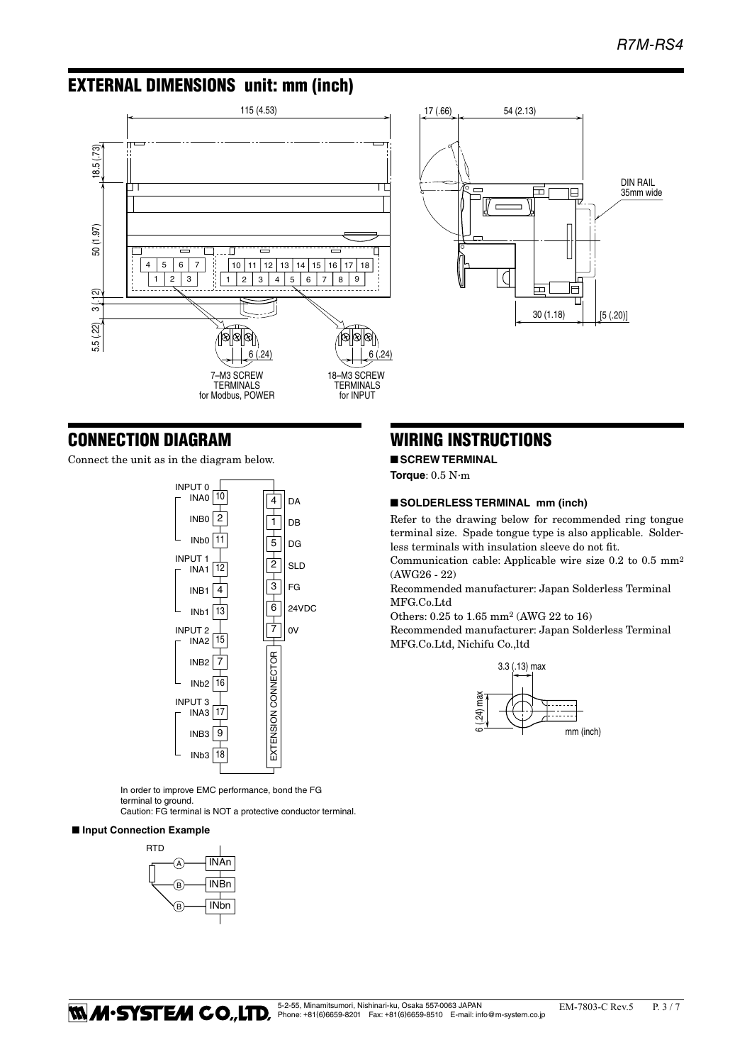# EXTERNAL DIMENSIONS unit: mm (inch)





# CONNECTION DIAGRAM

Connect the unit as in the diagram below.



In order to improve EMC performance, bond the FG terminal to ground.

Caution: FG terminal is NOT a protective conductor terminal.

#### ■ **Input Connection Example**



# WIRING INSTRUCTIONS

■ **SCREW TERMINAL** 

**Torque**: 0.5 N·m

# ■ **SOLDERLESS TERMINAL** mm (inch)

Refer to the drawing below for recommended ring tongue terminal size. Spade tongue type is also applicable. Solderless terminals with insulation sleeve do not fit.

Communication cable: Applicable wire size 0.2 to 0.5 mm2 (AWG26 - 22)

Recommended manufacturer: Japan Solderless Terminal MFG.Co.Ltd

Others: 0.25 to 1.65 mm2 (AWG 22 to 16)

Recommended manufacturer: Japan Solderless Terminal MFG.Co.Ltd, Nichifu Co.,ltd

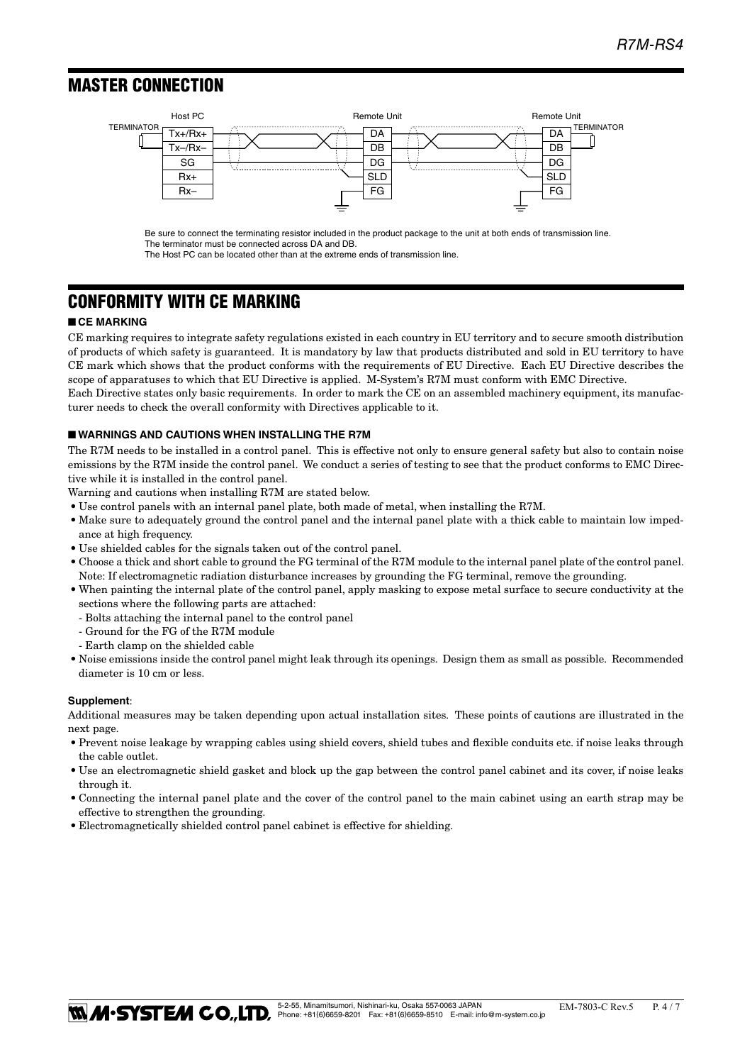# MASTER CONNECTION ■ **MASTER CONNECTION**



Be sure to connect the terminating resistor included in the product package to the unit at both ends of transmission line. The terminator must be connected across DA and DB.

The Host PC can be located other than at the extreme ends of transmission line.

# CONFORMITY WITH CE MARKING

# ■ **CE MARKING**

CE marking requires to integrate safety regulations existed in each country in EU territory and to secure smooth distribution of products of which safety is guaranteed. It is mandatory by law that products distributed and sold in EU territory to have CE mark which shows that the product conforms with the requirements of EU Directive. Each EU Directive describes the scope of apparatuses to which that EU Directive is applied. M-System's R7M must conform with EMC Directive. Each Directive states only basic requirements. In order to mark the CE on an assembled machinery equipment, its manufac-

turer needs to check the overall conformity with Directives applicable to it.

# ■ **WARNINGS AND CAUTIONS WHEN INSTALLING THE R7M**

The R7M needs to be installed in a control panel. This is effective not only to ensure general safety but also to contain noise emissions by the R7M inside the control panel. We conduct a series of testing to see that the product conforms to EMC Directive while it is installed in the control panel.

Warning and cautions when installing R7M are stated below.

- • Use control panels with an internal panel plate, both made of metal, when installing the R7M.
- Make sure to adequately ground the control panel and the internal panel plate with a thick cable to maintain low impedance at high frequency.
- $\bullet$  Use shielded cables for the signals taken out of the control panel.
- • Choose a thick and short cable to ground the FG terminal of the R7M module to the internal panel plate of the control panel. Note: If electromagnetic radiation disturbance increases by grounding the FG terminal, remove the grounding.
- • When painting the internal plate of the control panel, apply masking to expose metal surface to secure conductivity at the sections where the following parts are attached:
	- Bolts attaching the internal panel to the control panel
	- Ground for the FG of the R7M module
	- Earth clamp on the shielded cable
- • Noise emissions inside the control panel might leak through its openings. Design them as small as possible. Recommended diameter is 10 cm or less.

#### **Supplement**:

Additional measures may be taken depending upon actual installation sites. These points of cautions are illustrated in the next page.

- • Prevent noise leakage by wrapping cables using shield covers, shield tubes and flexible conduits etc. if noise leaks through the cable outlet.
- Use an electromagnetic shield gasket and block up the gap between the control panel cabinet and its cover, if noise leaks through it.
- • Connecting the internal panel plate and the cover of the control panel to the main cabinet using an earth strap may be effective to strengthen the grounding.
- Electromagnetically shielded control panel cabinet is effective for shielding.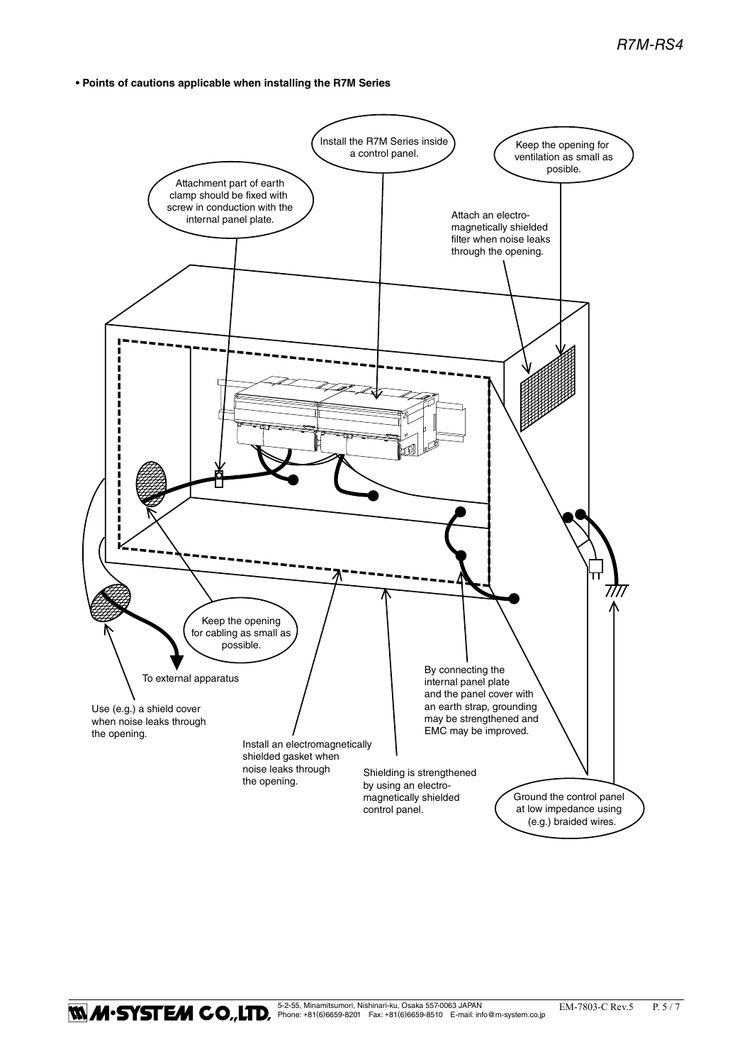# **• Points of cautions applicable when installing the R7M Series**

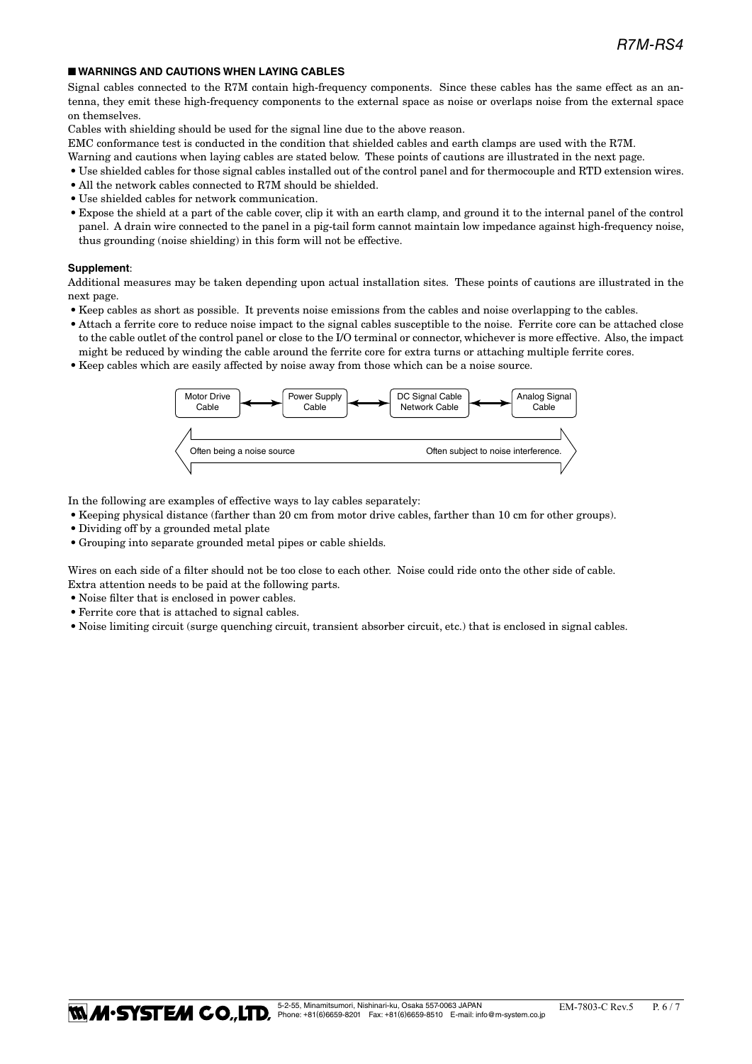# ■ **WARNINGS AND CAUTIONS WHEN LAYING CABLES**

Signal cables connected to the R7M contain high-frequency components. Since these cables has the same effect as an antenna, they emit these high-frequency components to the external space as noise or overlaps noise from the external space on themselves.

Cables with shielding should be used for the signal line due to the above reason.

EMC conformance test is conducted in the condition that shielded cables and earth clamps are used with the R7M.

- Warning and cautions when laying cables are stated below. These points of cautions are illustrated in the next page.
- • Use shielded cables for those signal cables installed out of the control panel and for thermocouple and RTD extension wires.
- All the network cables connected to R7M should be shielded.
- • Use shielded cables for network communication.
- • Expose the shield at a part of the cable cover, clip it with an earth clamp, and ground it to the internal panel of the control panel. A drain wire connected to the panel in a pig-tail form cannot maintain low impedance against high-frequency noise, thus grounding (noise shielding) in this form will not be effective.

#### **Supplement**:

Additional measures may be taken depending upon actual installation sites. These points of cautions are illustrated in the next page.

- • Keep cables as short as possible. It prevents noise emissions from the cables and noise overlapping to the cables.
- • Attach a ferrite core to reduce noise impact to the signal cables susceptible to the noise. Ferrite core can be attached close to the cable outlet of the control panel or close to the I/O terminal or connector, whichever is more effective. Also, the impact might be reduced by winding the cable around the ferrite core for extra turns or attaching multiple ferrite cores.
- • Keep cables which are easily affected by noise away from those which can be a noise source.



In the following are examples of effective ways to lay cables separately:

- • Keeping physical distance (farther than 20 cm from motor drive cables, farther than 10 cm for other groups).
- Dividing off by a grounded metal plate
- • Grouping into separate grounded metal pipes or cable shields.

Wires on each side of a filter should not be too close to each other. Noise could ride onto the other side of cable. Extra attention needs to be paid at the following parts.

- Noise filter that is enclosed in power cables.
- • Ferrite core that is attached to signal cables.
- • Noise limiting circuit (surge quenching circuit, transient absorber circuit, etc.) that is enclosed in signal cables.